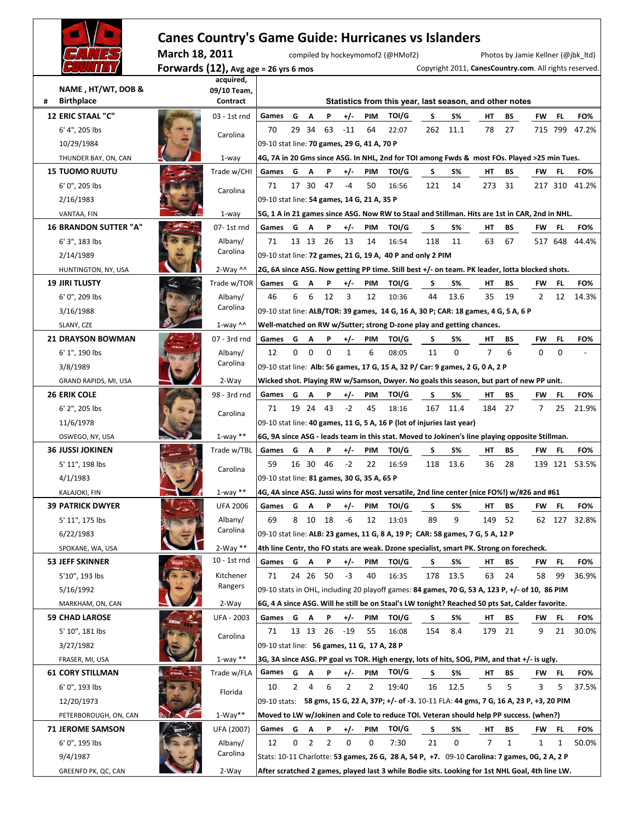|                                               | March 18, 2011 | <b>Canes Country's Game Guide: Hurricanes vs Islanders</b> |                                                                                                                                                              |              |            |                |                |                  | compiled by hockeymomof2 (@HMof2)                                                               |          |           |                                                        |              |                |                | Photos by Jamie Kellner (@jbk_ltd) |
|-----------------------------------------------|----------------|------------------------------------------------------------|--------------------------------------------------------------------------------------------------------------------------------------------------------------|--------------|------------|----------------|----------------|------------------|-------------------------------------------------------------------------------------------------|----------|-----------|--------------------------------------------------------|--------------|----------------|----------------|------------------------------------|
|                                               |                | Forwards $(12)$ , Avg age = 26 yrs 6 mos                   |                                                                                                                                                              |              |            |                |                |                  |                                                                                                 |          |           | Copyright 2011, CanesCountry.com. All rights reserved. |              |                |                |                                    |
| NAME, HT/WT, DOB &<br><b>Birthplace</b><br>#  |                | acquired,<br>09/10 Team,<br>Contract                       |                                                                                                                                                              |              |            |                |                |                  | Statistics from this year, last season, and other notes                                         |          |           |                                                        |              |                |                |                                    |
| <b>12 ERIC STAAL "C"</b>                      |                | 03 - 1st rnd                                               | Games                                                                                                                                                        | G            |            |                |                | PIM              | TOI/G                                                                                           |          | <b>S%</b> |                                                        |              | FW             |                | FO%                                |
| 6' 4", 205 lbs                                |                |                                                            | 70                                                                                                                                                           |              | A<br>29 34 | Ρ<br>63        | $+/-$<br>$-11$ | 64               | 22:07                                                                                           | S<br>262 | 11.1      | HТ<br>78                                               | BS<br>27     |                | FL.<br>715 799 | 47.2%                              |
|                                               |                | Carolina                                                   | 09-10 stat line: 70 games, 29 G, 41 A, 70 P                                                                                                                  |              |            |                |                |                  |                                                                                                 |          |           |                                                        |              |                |                |                                    |
| 10/29/1984                                    |                |                                                            |                                                                                                                                                              |              |            |                |                |                  |                                                                                                 |          |           |                                                        |              |                |                |                                    |
| THUNDER BAY, ON, CAN<br><b>15 TUOMO RUUTU</b> |                | $1$ -way<br>Trade w/CHI                                    | Games                                                                                                                                                        |              |            |                |                |                  | 4G, 7A in 20 Gms since ASG. In NHL, 2nd for TOI among Fwds & most FOs. Played >25 min Tues.     |          |           |                                                        |              |                |                |                                    |
|                                               |                |                                                            | 71                                                                                                                                                           | G            | Α<br>17 30 | P<br>47        | $+/-$<br>-4    | <b>PIM</b><br>50 | TOI/G<br>16:56                                                                                  | S<br>121 | S%<br>14  | HТ<br>273                                              | BS<br>31     | FW             | FL.<br>217 310 | FO%<br>41.2%                       |
| 6' 0", 205 lbs                                |                | Carolina                                                   |                                                                                                                                                              |              |            |                |                |                  |                                                                                                 |          |           |                                                        |              |                |                |                                    |
| 2/16/1983                                     |                |                                                            | 09-10 stat line: 54 games, 14 G, 21 A, 35 P                                                                                                                  |              |            |                |                |                  |                                                                                                 |          |           |                                                        |              |                |                |                                    |
| VANTAA, FIN                                   |                | $1$ -way                                                   |                                                                                                                                                              |              |            |                |                |                  | 5G, 1 A in 21 games since ASG. Now RW to Staal and Stillman. Hits are 1st in CAR, 2nd in NHL.   |          |           |                                                        |              |                |                |                                    |
| <b>16 BRANDON SUTTER "A"</b>                  |                | 07-1st rnd                                                 | Games                                                                                                                                                        | G            | A          | P              | $+/-$          | PIM              | TOI/G                                                                                           | s        | <b>S%</b> | HТ                                                     | BS           | FW             | FL.            | FO%                                |
| 6' 3", 183 lbs                                |                | Albany/<br>Carolina                                        | 71                                                                                                                                                           |              | 13 13 26   |                | 13             | 14               | 16:54                                                                                           | 118      | 11        | 63                                                     | 67           |                | 517 648        | 44.4%                              |
| 2/14/1989                                     |                |                                                            | 09-10 stat line: 72 games, 21 G, 19 A, 40 P and only 2 PIM<br>2G, 6A since ASG. Now getting PP time. Still best +/- on team. PK leader, lotta blocked shots. |              |            |                |                |                  |                                                                                                 |          |           |                                                        |              |                |                |                                    |
| HUNTINGTON, NY, USA                           |                | $2-Way$ ^^                                                 |                                                                                                                                                              |              |            |                |                |                  |                                                                                                 |          |           |                                                        |              |                |                |                                    |
| <b>19 JIRI TLUSTY</b>                         |                | Trade w/TOR                                                | Games                                                                                                                                                        | G            | A          | P              | $+/-$          | PIM              | TOI/G                                                                                           | S        | S%        | HТ                                                     | ВS           | FW             | FL.            | FO%                                |
| 6' 0", 209 lbs                                |                | Albany/<br>Carolina                                        | 46                                                                                                                                                           | 6            | 6          | 12             | 3              | 12               | 10:36                                                                                           | 44       | 13.6      | 35                                                     | 19           | $\overline{2}$ | 12             | 14.3%                              |
| 3/16/1988                                     |                |                                                            | 09-10 stat line: ALB/TOR: 39 games, 14 G, 16 A, 30 P; CAR: 18 games, 4 G, 5 A, 6 P<br>Well-matched on RW w/Sutter; strong D-zone play and getting chances.   |              |            |                |                |                  |                                                                                                 |          |           |                                                        |              |                |                |                                    |
| SLANY, CZE                                    |                | $1$ -way ^^                                                |                                                                                                                                                              |              |            |                |                |                  |                                                                                                 |          |           |                                                        |              |                |                |                                    |
| <b>21 DRAYSON BOWMAN</b>                      |                | 07 - 3rd rnd                                               | Games                                                                                                                                                        | G            | A          | P              | $+/-$          | PIM              | TOI/G                                                                                           | s        | <b>S%</b> | HТ                                                     | BS           | FW             | FL.            | FO%                                |
| 6' 1", 190 lbs                                |                | Albany/<br>Carolina                                        | 12                                                                                                                                                           | 0            | $\Omega$   | $\Omega$       | $\mathbf{1}$   | 6                | 08:05                                                                                           | 11       | 0         | 7                                                      | 6            | $\Omega$       | $\Omega$       |                                    |
| 3/8/1989                                      |                |                                                            |                                                                                                                                                              |              |            |                |                |                  | 09-10 stat line: Alb: 56 games, 17 G, 15 A, 32 P/ Car: 9 games, 2 G, 0 A, 2 P                   |          |           |                                                        |              |                |                |                                    |
| GRAND RAPIDS, MI, USA                         |                | 2-Way                                                      |                                                                                                                                                              |              |            |                |                |                  | Wicked shot. Playing RW w/Samson, Dwyer. No goals this season, but part of new PP unit.         |          |           |                                                        |              |                |                |                                    |
| <b>26 ERIK COLE</b>                           |                | 98 - 3rd rnd                                               | Games                                                                                                                                                        | G            | A          | P              | $+/-$          | PIM              | TOI/G                                                                                           | s        | S%        | HТ                                                     | BS           | FW             | FL.            | FO%                                |
| 6' 2", 205 lbs                                |                | Carolina                                                   | 71                                                                                                                                                           |              | 19 24 43   |                | $-2$           | 45               | 18:16                                                                                           | 167      | 11.4      | 184                                                    | 27           | 7              | 25             | 21.9%                              |
| 11/6/1978                                     |                |                                                            |                                                                                                                                                              |              |            |                |                |                  | 09-10 stat line: 40 games, 11 G, 5 A, 16 P (lot of injuries last year)                          |          |           |                                                        |              |                |                |                                    |
| OSWEGO, NY, USA                               |                | $1$ -way $**$                                              |                                                                                                                                                              |              |            |                |                |                  | 6G, 9A since ASG - leads team in this stat. Moved to Jokinen's line playing opposite Stillman.  |          |           |                                                        |              |                |                |                                    |
| <b>36 JUSSI JOKINEN</b>                       |                | Trade w/TBL                                                | Games                                                                                                                                                        | G            | Α          | P              | $+/-$          | PIM              | TOI/G                                                                                           | S        | S%        | HТ                                                     | ВS           | FW             | FL.            | FO%                                |
| 5' 11", 198 lbs                               |                | Carolina                                                   | 59                                                                                                                                                           |              | 16 30      | - 46           | $-2$           | 22               | 16:59                                                                                           | 118      | 13.6      | 36                                                     | 28           |                |                | 139 121 53.5%                      |
| 4/1/1983                                      |                |                                                            | 09-10 stat line: 81 games, 30 G, 35 A, 65 P                                                                                                                  |              |            |                |                |                  |                                                                                                 |          |           |                                                        |              |                |                |                                    |
| KALAJOKI, FIN                                 |                | $1$ -way $**$                                              |                                                                                                                                                              |              |            |                |                |                  | 4G, 4A since ASG. Jussi wins for most versatile, 2nd line center (nice FO%!) w/#26 and #61      |          |           |                                                        |              |                |                |                                    |
| <b>39 PATRICK DWYER</b>                       |                | <b>UFA 2006</b>                                            | Games                                                                                                                                                        | G            | A          | P              | $+/-$          | PIM              | TOI/G                                                                                           | s        | S%        | HТ                                                     | ВS           | FW             | FL.            | FO%                                |
| 5' 11", 175 lbs                               |                | Albany/<br>Carolina                                        | 69                                                                                                                                                           |              | 8 10 18    |                | -6             | 12               | 13:03                                                                                           | 89       | 9         | 149                                                    | 52           |                |                | 62 127 32.8%                       |
| 6/22/1983                                     |                |                                                            |                                                                                                                                                              |              |            |                |                |                  | 09-10 stat line: ALB: 23 games, 11 G, 8 A, 19 P; CAR: 58 games, 7 G, 5 A, 12 P                  |          |           |                                                        |              |                |                |                                    |
| SPOKANE, WA, USA                              |                | $2-Way**$                                                  |                                                                                                                                                              |              |            |                |                |                  | 4th line Centr, tho FO stats are weak. Dzone specialist, smart PK. Strong on forecheck.         |          |           |                                                        |              |                |                |                                    |
| <b>53 JEFF SKINNER</b>                        |                | 10 - 1st rnd                                               | Games                                                                                                                                                        | G            | A          | P              | $+/-$          | PIM              | TOI/G                                                                                           | s        | <b>S%</b> | HТ                                                     | BS           | FW             | FL.            | FO%                                |
| 5'10", 193 lbs                                |                | Kitchener<br>Rangers                                       | 71                                                                                                                                                           |              | 24 26 50   |                | $-3$           | 40               | 16:35                                                                                           | 178      | 13.5      | 63                                                     | 24           | 58             | 99             | 36.9%                              |
| 5/16/1992                                     |                |                                                            |                                                                                                                                                              |              |            |                |                |                  | 09-10 stats in OHL, including 20 playoff games: 84 games, 70 G, 53 A, 123 P, +/- of 10, 86 PIM  |          |           |                                                        |              |                |                |                                    |
| MARKHAM, ON, CAN                              |                | 2-Way                                                      |                                                                                                                                                              |              |            |                |                |                  | 6G, 4 A since ASG. Will he still be on Staal's LW tonight? Reached 50 pts Sat, Calder favorite. |          |           |                                                        |              |                |                |                                    |
| <b>59 CHAD LAROSE</b>                         |                | UFA - 2003                                                 | Games G A                                                                                                                                                    |              |            | P              | $+/-$          | PIM              | TOI/G                                                                                           | S        | S%        | HТ                                                     | BS           | FW             | FL.            | FO%                                |
| 5' 10", 181 lbs                               |                | Carolina                                                   | 71                                                                                                                                                           |              | 13 13 26   |                | -19            | 55               | 16:08                                                                                           | 154      | 8.4       | 179                                                    | 21           | 9              | 21             | 30.0%                              |
| 3/27/1982                                     |                |                                                            | 09-10 stat line: 56 games, 11 G, 17 A, 28 P                                                                                                                  |              |            |                |                |                  |                                                                                                 |          |           |                                                        |              |                |                |                                    |
| FRASER, MI, USA                               |                | $1$ -way $**$                                              |                                                                                                                                                              |              |            |                |                |                  | 3G, 3A since ASG. PP goal vs TOR. High energy, lots of hits, SOG, PIM, and that +/- is ugly.    |          |           |                                                        |              |                |                |                                    |
| <b>61 CORY STILLMAN</b>                       |                | Trade w/FLA                                                | Games                                                                                                                                                        | G            | A          | P              | $+/-$          | PIM              | TOI/G                                                                                           | S        | <b>S%</b> | HТ                                                     | BS           | FW             | FL.            | FO%                                |
| 6' 0", 193 lbs                                |                | Florida                                                    | 10                                                                                                                                                           | $\mathbf{2}$ | 4          | 6              | 2              | 2                | 19:40                                                                                           | 16       | 12.5      | 5                                                      | 5            | 3              | 5              | 37.5%                              |
| 12/20/1973                                    |                |                                                            |                                                                                                                                                              |              |            |                |                |                  | 09-10 stats: 58 gms, 15 G, 22 A, 37P; +/- of -3. 10-11 FLA: 44 gms, 7 G, 16 A, 23 P, +3, 20 PIM |          |           |                                                        |              |                |                |                                    |
| PETERBOROUGH, ON, CAN                         |                | $1-Way**$                                                  |                                                                                                                                                              |              |            |                |                |                  | Moved to LW w/Jokinen and Cole to reduce TOI. Veteran should help PP success. (when?)           |          |           |                                                        |              |                |                |                                    |
| <b>71 JEROME SAMSON</b>                       |                | UFA (2007)                                                 | Games                                                                                                                                                        | G            | <b>A</b>   | P              | $+/-$          | PIM              | TOI/G                                                                                           | s        | <b>S%</b> | HТ                                                     | BS           | FW             | FL.            | FO%                                |
| 6' 0", 195 lbs                                |                | Albany/<br>Carolina                                        | 12                                                                                                                                                           | 0            | 2          | $\overline{2}$ | 0              | 0                | 7:30                                                                                            | 21       | 0         | $\overline{7}$                                         | $\mathbf{1}$ | 1              | 1              | 50.0%                              |
| 9/4/1987                                      |                |                                                            |                                                                                                                                                              |              |            |                |                |                  | Stats: 10-11 Charlotte: 53 games, 26 G, 28 A, 54 P, +7. 09-10 Carolina: 7 games, 0G, 2 A, 2 P   |          |           |                                                        |              |                |                |                                    |
| GREENFD PK, QC, CAN                           |                | 2-Way                                                      |                                                                                                                                                              |              |            |                |                |                  | After scratched 2 games, played last 3 while Bodie sits. Looking for 1st NHL Goal, 4th line LW. |          |           |                                                        |              |                |                |                                    |